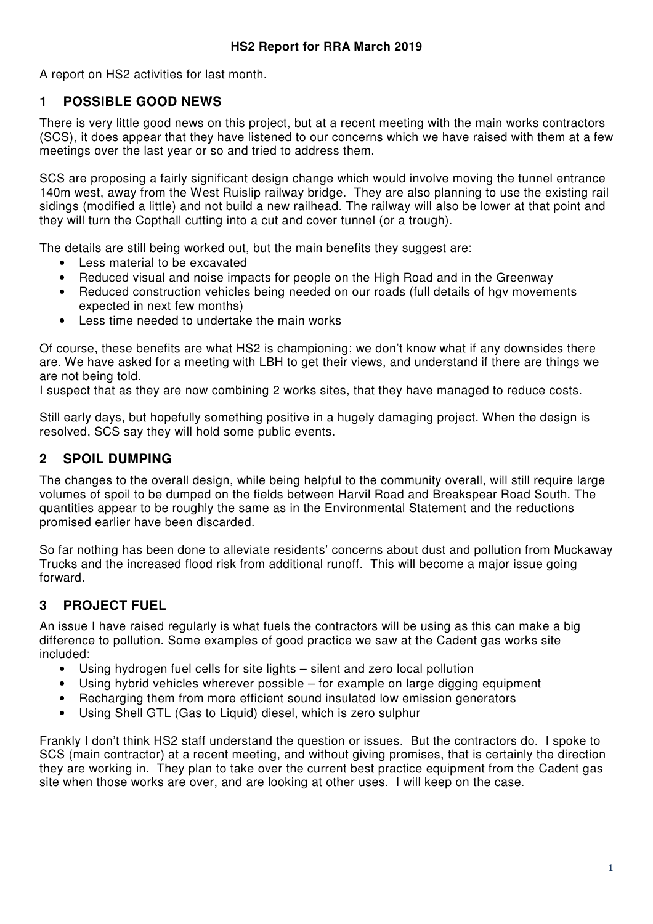A report on HS2 activities for last month.

#### **1 POSSIBLE GOOD NEWS**

There is very little good news on this project, but at a recent meeting with the main works contractors (SCS), it does appear that they have listened to our concerns which we have raised with them at a few meetings over the last year or so and tried to address them.

SCS are proposing a fairly significant design change which would involve moving the tunnel entrance 140m west, away from the West Ruislip railway bridge. They are also planning to use the existing rail sidings (modified a little) and not build a new railhead. The railway will also be lower at that point and they will turn the Copthall cutting into a cut and cover tunnel (or a trough).

The details are still being worked out, but the main benefits they suggest are:

- Less material to be excavated
- Reduced visual and noise impacts for people on the High Road and in the Greenway
- Reduced construction vehicles being needed on our roads (full details of hgv movements expected in next few months)
- Less time needed to undertake the main works

Of course, these benefits are what HS2 is championing; we don't know what if any downsides there are. We have asked for a meeting with LBH to get their views, and understand if there are things we are not being told.

I suspect that as they are now combining 2 works sites, that they have managed to reduce costs.

Still early days, but hopefully something positive in a hugely damaging project. When the design is resolved, SCS say they will hold some public events.

#### **2 SPOIL DUMPING**

The changes to the overall design, while being helpful to the community overall, will still require large volumes of spoil to be dumped on the fields between Harvil Road and Breakspear Road South. The quantities appear to be roughly the same as in the Environmental Statement and the reductions promised earlier have been discarded.

So far nothing has been done to alleviate residents' concerns about dust and pollution from Muckaway Trucks and the increased flood risk from additional runoff. This will become a major issue going forward.

## **3 PROJECT FUEL**

An issue I have raised regularly is what fuels the contractors will be using as this can make a big difference to pollution. Some examples of good practice we saw at the Cadent gas works site included:

- Using hydrogen fuel cells for site lights silent and zero local pollution
- Using hybrid vehicles wherever possible for example on large digging equipment
- Recharging them from more efficient sound insulated low emission generators
- Using Shell GTL (Gas to Liquid) diesel, which is zero sulphur

Frankly I don't think HS2 staff understand the question or issues. But the contractors do. I spoke to SCS (main contractor) at a recent meeting, and without giving promises, that is certainly the direction they are working in. They plan to take over the current best practice equipment from the Cadent gas site when those works are over, and are looking at other uses. I will keep on the case.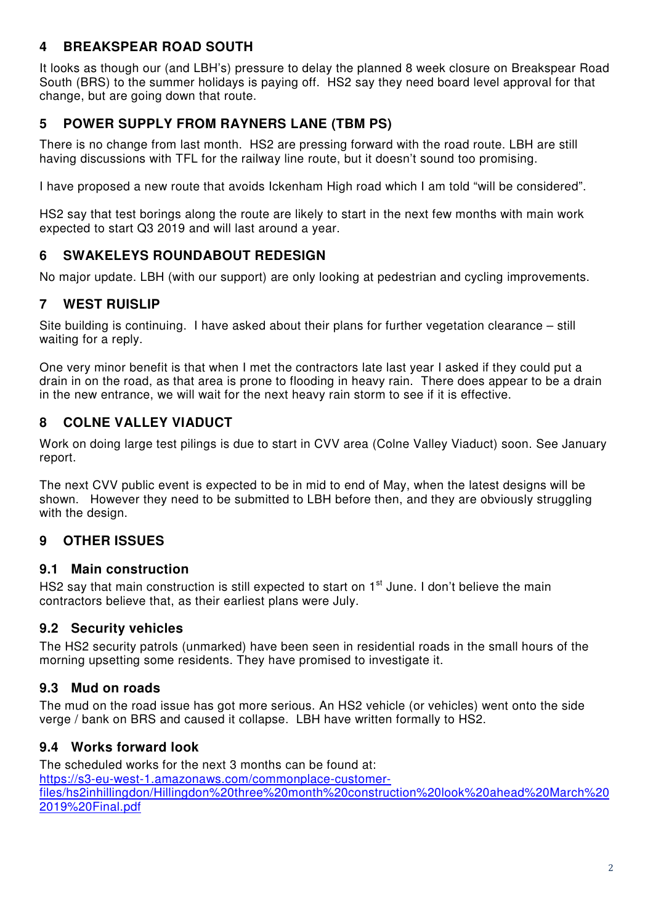## **4 BREAKSPEAR ROAD SOUTH**

It looks as though our (and LBH's) pressure to delay the planned 8 week closure on Breakspear Road South (BRS) to the summer holidays is paying off. HS2 say they need board level approval for that change, but are going down that route.

# **5 POWER SUPPLY FROM RAYNERS LANE (TBM PS)**

There is no change from last month. HS2 are pressing forward with the road route. LBH are still having discussions with TFL for the railway line route, but it doesn't sound too promising.

I have proposed a new route that avoids Ickenham High road which I am told "will be considered".

HS2 say that test borings along the route are likely to start in the next few months with main work expected to start Q3 2019 and will last around a year.

## **6 SWAKELEYS ROUNDABOUT REDESIGN**

No major update. LBH (with our support) are only looking at pedestrian and cycling improvements.

## **7 WEST RUISLIP**

Site building is continuing. I have asked about their plans for further vegetation clearance – still waiting for a reply.

One very minor benefit is that when I met the contractors late last year I asked if they could put a drain in on the road, as that area is prone to flooding in heavy rain. There does appear to be a drain in the new entrance, we will wait for the next heavy rain storm to see if it is effective.

## **8 COLNE VALLEY VIADUCT**

Work on doing large test pilings is due to start in CVV area (Colne Valley Viaduct) soon. See January report.

The next CVV public event is expected to be in mid to end of May, when the latest designs will be shown. However they need to be submitted to LBH before then, and they are obviously struggling with the design.

## **9 OTHER ISSUES**

#### **9.1 Main construction**

HS2 say that main construction is still expected to start on 1<sup>st</sup> June. I don't believe the main contractors believe that, as their earliest plans were July.

## **9.2 Security vehicles**

The HS2 security patrols (unmarked) have been seen in residential roads in the small hours of the morning upsetting some residents. They have promised to investigate it.

## **9.3 Mud on roads**

The mud on the road issue has got more serious. An HS2 vehicle (or vehicles) went onto the side verge / bank on BRS and caused it collapse. LBH have written formally to HS2.

## **9.4 Works forward look**

The scheduled works for the next 3 months can be found at: https://s3-eu-west-1.amazonaws.com/commonplace-customerfiles/hs2inhillingdon/Hillingdon%20three%20month%20construction%20look%20ahead%20March%20 2019%20Final.pdf